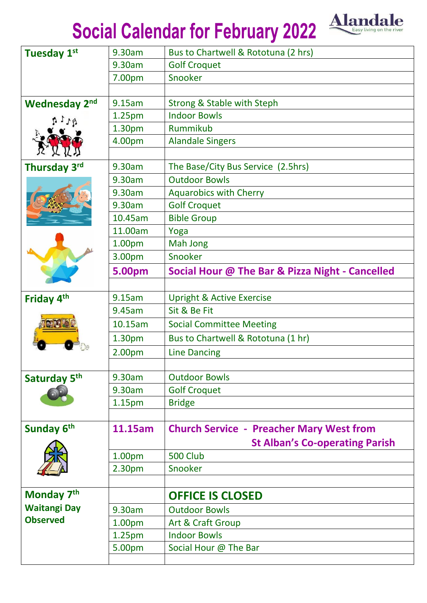## Social Calendar for February 2022 Alandale



| <b>Tuesday 1st</b>       | 9.30am             | Bus to Chartwell & Rototuna (2 hrs)             |
|--------------------------|--------------------|-------------------------------------------------|
|                          | 9.30am             | <b>Golf Croquet</b>                             |
|                          | 7.00pm             | Snooker                                         |
|                          |                    |                                                 |
| Wednesday 2nd            | 9.15am             | <b>Strong &amp; Stable with Steph</b>           |
|                          | 1.25pm             | <b>Indoor Bowls</b>                             |
|                          | 1.30 <sub>pm</sub> | Rummikub                                        |
|                          | 4.00pm             | <b>Alandale Singers</b>                         |
|                          |                    |                                                 |
| Thursday 3 <sup>rd</sup> | 9.30am             | The Base/City Bus Service (2.5hrs)              |
|                          | 9.30am             | <b>Outdoor Bowls</b>                            |
|                          | 9.30am             | <b>Aquarobics with Cherry</b>                   |
|                          | 9.30am             | <b>Golf Croquet</b>                             |
|                          | 10.45am            | <b>Bible Group</b>                              |
|                          | 11.00am            | Yoga                                            |
|                          | 1.00pm             | Mah Jong                                        |
|                          | 3.00pm             | Snooker                                         |
|                          | 5.00pm             | Social Hour @ The Bar & Pizza Night - Cancelled |
|                          |                    |                                                 |
| Friday 4 <sup>th</sup>   | 9.15am             | <b>Upright &amp; Active Exercise</b>            |
|                          | 9.45am             | Sit & Be Fit                                    |
|                          | 10.15am            | <b>Social Committee Meeting</b>                 |
|                          | 1.30pm             | Bus to Chartwell & Rototuna (1 hr)              |
|                          | 2.00pm             | <b>Line Dancing</b>                             |
|                          |                    |                                                 |
| Saturday 5 <sup>th</sup> | 9.30am             | <b>Outdoor Bowls</b>                            |
|                          | 9.30am             | <b>Golf Croquet</b>                             |
|                          | 1.15pm             | <b>Bridge</b>                                   |
|                          |                    |                                                 |
| Sunday 6 <sup>th</sup>   | 11.15am            | <b>Church Service - Preacher Mary West from</b> |
|                          |                    | <b>St Alban's Co-operating Parish</b>           |
|                          | 1.00pm             | <b>500 Club</b>                                 |
|                          | 2.30pm             | Snooker                                         |
|                          |                    |                                                 |
| Monday 7 <sup>th</sup>   |                    | <b>OFFICE IS CLOSED</b>                         |
| <b>Waitangi Day</b>      | 9.30am             | <b>Outdoor Bowls</b>                            |
| <b>Observed</b>          | 1.00pm             | Art & Craft Group                               |
|                          | 1.25pm             | <b>Indoor Bowls</b>                             |
|                          | 5.00pm             | Social Hour @ The Bar                           |
|                          |                    |                                                 |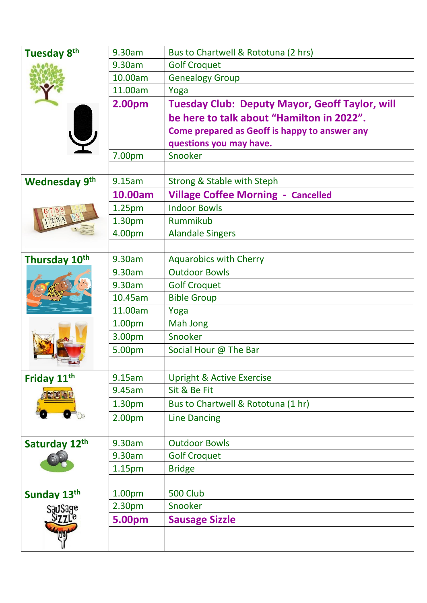| Tuesday 8 <sup>th</sup>   | 9.30am             | Bus to Chartwell & Rototuna (2 hrs)                   |
|---------------------------|--------------------|-------------------------------------------------------|
|                           | 9.30am             | <b>Golf Croquet</b>                                   |
|                           | 10.00am            | <b>Genealogy Group</b>                                |
|                           | 11.00am            | Yoga                                                  |
|                           | 2.00pm             | <b>Tuesday Club: Deputy Mayor, Geoff Taylor, will</b> |
|                           |                    | be here to talk about "Hamilton in 2022".             |
|                           |                    | Come prepared as Geoff is happy to answer any         |
|                           |                    | questions you may have.                               |
|                           | 7.00pm             | Snooker                                               |
|                           |                    |                                                       |
| <b>Wednesday 9th</b>      | 9.15am             | <b>Strong &amp; Stable with Steph</b>                 |
|                           | 10.00am            | <b>Village Coffee Morning - Cancelled</b>             |
|                           | 1.25pm             | <b>Indoor Bowls</b>                                   |
|                           | 1.30pm             | Rummikub                                              |
|                           | 4.00pm             | <b>Alandale Singers</b>                               |
|                           |                    |                                                       |
| Thursday 10 <sup>th</sup> | 9.30am             | <b>Aquarobics with Cherry</b>                         |
|                           | 9.30am             | <b>Outdoor Bowls</b>                                  |
|                           | 9.30am             | <b>Golf Croquet</b>                                   |
|                           | 10.45am            | <b>Bible Group</b>                                    |
|                           | 11.00am            | Yoga                                                  |
|                           | 1.00pm             | Mah Jong                                              |
|                           | 3.00pm             | Snooker                                               |
|                           | 5.00pm             | Social Hour @ The Bar                                 |
|                           |                    |                                                       |
| Friday 11th               | 9.15am             | <b>Upright &amp; Active Exercise</b>                  |
|                           | 9.45am             | Sit & Be Fit                                          |
|                           | 1.30 <sub>pm</sub> | Bus to Chartwell & Rototuna (1 hr)                    |
|                           | 2.00pm             | <b>Line Dancing</b>                                   |
|                           |                    |                                                       |
| Saturday 12th             | 9.30am             | <b>Outdoor Bowls</b>                                  |
|                           | 9.30am             | <b>Golf Croquet</b>                                   |
|                           | 1.15 <sub>pm</sub> | <b>Bridge</b>                                         |
|                           |                    |                                                       |
| Sunday 13th               | 1.00pm             | <b>500 Club</b>                                       |
| SauSage                   | 2.30pm             | Snooker                                               |
|                           | 5.00pm             | <b>Sausage Sizzle</b>                                 |
|                           |                    |                                                       |
|                           |                    |                                                       |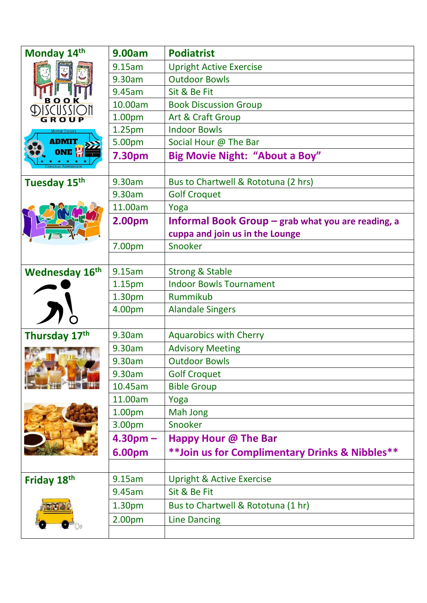| Monday 14th              | 9.00am             | <b>Podiatrist</b>                                    |
|--------------------------|--------------------|------------------------------------------------------|
|                          | 9.15am             | <b>Upright Active Exercise</b>                       |
|                          | 9.30am             | <b>Outdoor Bowls</b>                                 |
|                          | 9.45am             | Sit & Be Fit                                         |
| BOOK<br><i>ISCUSSION</i> | 10.00am            | <b>Book Discussion Group</b>                         |
|                          | 1.00pm             | Art & Craft Group                                    |
|                          | 1.25pm             | <b>Indoor Bowls</b>                                  |
| <b>ADMIT</b>             | 5.00pm             | Social Hour @ The Bar                                |
| ONE <sup>L</sup>         | <b>7.30pm</b>      | <b>Big Movie Night: "About a Boy"</b>                |
|                          |                    |                                                      |
| Tuesday 15th             | 9.30am             | Bus to Chartwell & Rototuna (2 hrs)                  |
|                          | 9.30am             | <b>Golf Croquet</b>                                  |
|                          | 11.00am            | Yoga                                                 |
|                          | 2.00pm             | Informal Book Group $-$ grab what you are reading, a |
|                          |                    | cuppa and join us in the Lounge                      |
|                          | 7.00pm             | Snooker                                              |
|                          |                    |                                                      |
| <b>Wednesday 16th</b>    | 9.15am             | <b>Strong &amp; Stable</b>                           |
|                          | 1.15pm             | <b>Indoor Bowls Tournament</b>                       |
|                          | 1.30pm             | Rummikub                                             |
|                          | 4.00pm             | <b>Alandale Singers</b>                              |
|                          |                    |                                                      |
| Thursday 17th            | 9.30am             | <b>Aquarobics with Cherry</b>                        |
|                          | 9.30am             | <b>Advisory Meeting</b>                              |
|                          | 9.30am             | <b>Outdoor Bowls</b>                                 |
|                          | 9.30am             | <b>Golf Croquet</b>                                  |
|                          | 10.45am            | <b>Bible Group</b>                                   |
|                          | 11.00am            | Yoga                                                 |
|                          | 1.00pm             | Mah Jong                                             |
|                          | 3.00pm             | Snooker                                              |
|                          | $4.30pm -$         | <b>Happy Hour @ The Bar</b>                          |
|                          | <b>6.00pm</b>      | **Join us for Complimentary Drinks & Nibbles**       |
|                          |                    |                                                      |
| Friday 18th              | 9.15am             | <b>Upright &amp; Active Exercise</b>                 |
|                          | 9.45am             | Sit & Be Fit                                         |
|                          | 1.30 <sub>pm</sub> | Bus to Chartwell & Rototuna (1 hr)                   |
|                          | 2.00 <sub>pm</sub> | <b>Line Dancing</b>                                  |
|                          |                    |                                                      |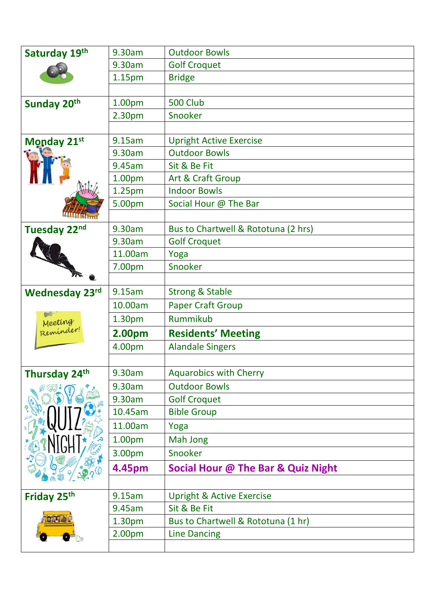| Saturday 19th         | 9.30am             | <b>Outdoor Bowls</b>                 |
|-----------------------|--------------------|--------------------------------------|
|                       | 9.30am             | <b>Golf Croquet</b>                  |
|                       | 1.15 <sub>pm</sub> | <b>Bridge</b>                        |
|                       |                    |                                      |
| Sunday 20th           | 1.00pm             | 500 Club                             |
|                       | 2.30pm             | Snooker                              |
|                       |                    |                                      |
| Monday 21st           | 9.15am             | <b>Upright Active Exercise</b>       |
|                       | 9.30am             | <b>Outdoor Bowls</b>                 |
|                       | 9.45am             | Sit & Be Fit                         |
|                       | 1.00pm             | Art & Craft Group                    |
|                       | 1.25pm             | <b>Indoor Bowls</b>                  |
|                       | 5.00pm             | Social Hour @ The Bar                |
| <b>AAAAAA</b>         |                    |                                      |
| Tuesday 22nd          | 9.30am             | Bus to Chartwell & Rototuna (2 hrs)  |
|                       | 9.30am             | <b>Golf Croquet</b>                  |
|                       | 11.00am            | Yoga                                 |
|                       | 7.00pm             | Snooker                              |
|                       |                    |                                      |
| <b>Wednesday 23rd</b> | 9.15am             | <b>Strong &amp; Stable</b>           |
|                       | 10.00am            | <b>Paper Craft Group</b>             |
|                       | 1.30pm             | Rummikub                             |
| Meeting<br>Reminder!  | 2.00pm             | <b>Residents' Meeting</b>            |
|                       | 4.00pm             | <b>Alandale Singers</b>              |
|                       |                    |                                      |
| Thursday 24th         | 9.30am             | <b>Aquarobics with Cherry</b>        |
|                       | 9.30am             | <b>Outdoor Bowls</b>                 |
|                       | 9.30am             | <b>Golf Croquet</b>                  |
|                       | 10.45am            | <b>Bible Group</b>                   |
|                       | 11.00am            | Yoga                                 |
|                       | 1.00pm             | Mah Jong                             |
|                       | 3.00pm             | Snooker                              |
|                       | 4.45pm             | Social Hour @ The Bar & Quiz Night   |
|                       |                    |                                      |
| Friday 25th           | 9.15am             | <b>Upright &amp; Active Exercise</b> |
|                       | 9.45am             | Sit & Be Fit                         |
|                       | 1.30pm             | Bus to Chartwell & Rototuna (1 hr)   |
|                       | 2.00pm             | <b>Line Dancing</b>                  |
|                       |                    |                                      |